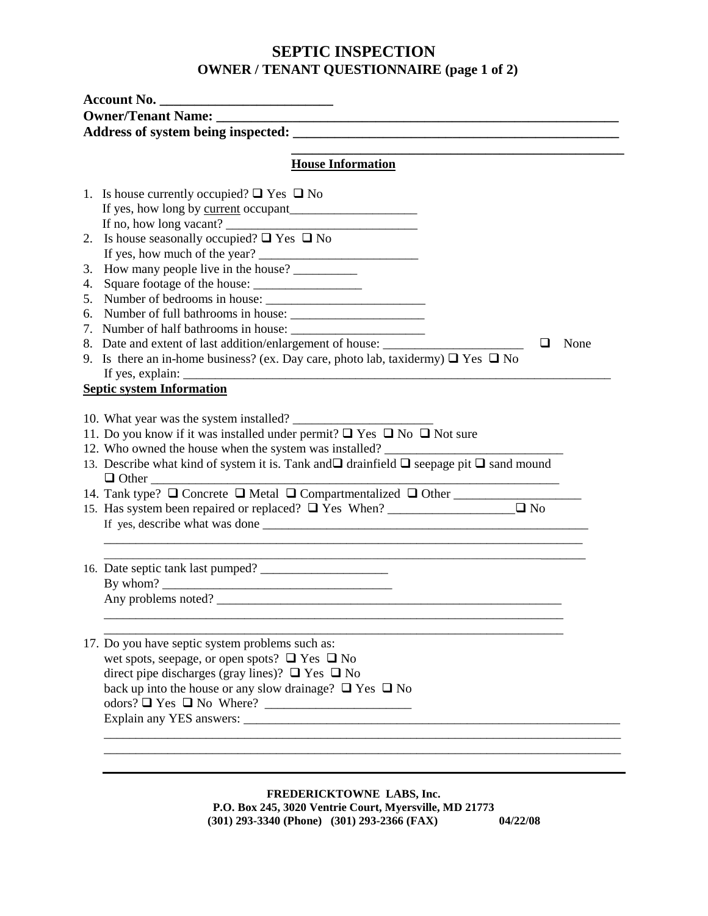## **SEPTIC INSPECTION OWNER / TENANT QUESTIONNAIRE (page 1 of 2)**

|    | <b>House Information</b>                                                                                                                                                                                                                                                                         |  |  |  |  |
|----|--------------------------------------------------------------------------------------------------------------------------------------------------------------------------------------------------------------------------------------------------------------------------------------------------|--|--|--|--|
|    | 1. Is house currently occupied? $\Box$ Yes $\Box$ No                                                                                                                                                                                                                                             |  |  |  |  |
|    |                                                                                                                                                                                                                                                                                                  |  |  |  |  |
|    |                                                                                                                                                                                                                                                                                                  |  |  |  |  |
|    | 2. Is house seasonally occupied? $\Box$ Yes $\Box$ No                                                                                                                                                                                                                                            |  |  |  |  |
|    | If yes, how much of the year?                                                                                                                                                                                                                                                                    |  |  |  |  |
| 3. | How many people live in the house?                                                                                                                                                                                                                                                               |  |  |  |  |
| 4. | Square footage of the house:                                                                                                                                                                                                                                                                     |  |  |  |  |
|    | 5. Number of bedrooms in house:                                                                                                                                                                                                                                                                  |  |  |  |  |
|    |                                                                                                                                                                                                                                                                                                  |  |  |  |  |
|    |                                                                                                                                                                                                                                                                                                  |  |  |  |  |
|    | 8. Date and extent of last addition/enlargement of house: ______________________<br>None<br>⊔                                                                                                                                                                                                    |  |  |  |  |
|    | 9. Is there an in-home business? (ex. Day care, photo lab, taxidermy) $\Box$ Yes $\Box$ No                                                                                                                                                                                                       |  |  |  |  |
|    | If yes, explain: $\frac{1}{2}$ = $\frac{1}{2}$ = $\frac{1}{2}$ = $\frac{1}{2}$ = $\frac{1}{2}$ = $\frac{1}{2}$ = $\frac{1}{2}$ = $\frac{1}{2}$ = $\frac{1}{2}$ = $\frac{1}{2}$ = $\frac{1}{2}$ = $\frac{1}{2}$ = $\frac{1}{2}$ = $\frac{1}{2}$ = $\frac{1}{2}$ = $\frac{1}{2}$ = $\frac{1}{2}$ = |  |  |  |  |
|    | <b>Septic system Information</b>                                                                                                                                                                                                                                                                 |  |  |  |  |
|    |                                                                                                                                                                                                                                                                                                  |  |  |  |  |
|    | 11. Do you know if it was installed under permit? $\Box$ Yes $\Box$ No $\Box$ Not sure                                                                                                                                                                                                           |  |  |  |  |
|    | 12. Who owned the house when the system was installed?                                                                                                                                                                                                                                           |  |  |  |  |
|    | 13. Describe what kind of system it is. Tank and $\square$ drainfield $\square$ seepage pit $\square$ sand mound                                                                                                                                                                                 |  |  |  |  |
|    |                                                                                                                                                                                                                                                                                                  |  |  |  |  |
|    | 14. Tank type? $\Box$ Concrete $\Box$ Metal $\Box$ Compartmentalized $\Box$ Other                                                                                                                                                                                                                |  |  |  |  |
|    | $\Box$ No                                                                                                                                                                                                                                                                                        |  |  |  |  |
|    | If yes, describe what was done                                                                                                                                                                                                                                                                   |  |  |  |  |
|    |                                                                                                                                                                                                                                                                                                  |  |  |  |  |
|    | 16. Date septic tank last pumped?                                                                                                                                                                                                                                                                |  |  |  |  |
|    |                                                                                                                                                                                                                                                                                                  |  |  |  |  |
|    | Any problems noted?                                                                                                                                                                                                                                                                              |  |  |  |  |
|    |                                                                                                                                                                                                                                                                                                  |  |  |  |  |
|    | 17. Do you have septic system problems such as:                                                                                                                                                                                                                                                  |  |  |  |  |
|    | wet spots, seepage, or open spots? $\Box$ Yes $\Box$ No                                                                                                                                                                                                                                          |  |  |  |  |
|    | direct pipe discharges (gray lines)? $\Box$ Yes $\Box$ No                                                                                                                                                                                                                                        |  |  |  |  |
|    | back up into the house or any slow drainage? $\Box$ Yes $\Box$ No                                                                                                                                                                                                                                |  |  |  |  |
|    |                                                                                                                                                                                                                                                                                                  |  |  |  |  |
|    |                                                                                                                                                                                                                                                                                                  |  |  |  |  |
|    |                                                                                                                                                                                                                                                                                                  |  |  |  |  |

**FREDERICKTOWNE LABS, Inc. P.O. Box 245, 3020 Ventrie Court, Myersville, MD 21773 (301) 293-3340 (Phone) (301) 293-2366 (FAX)**